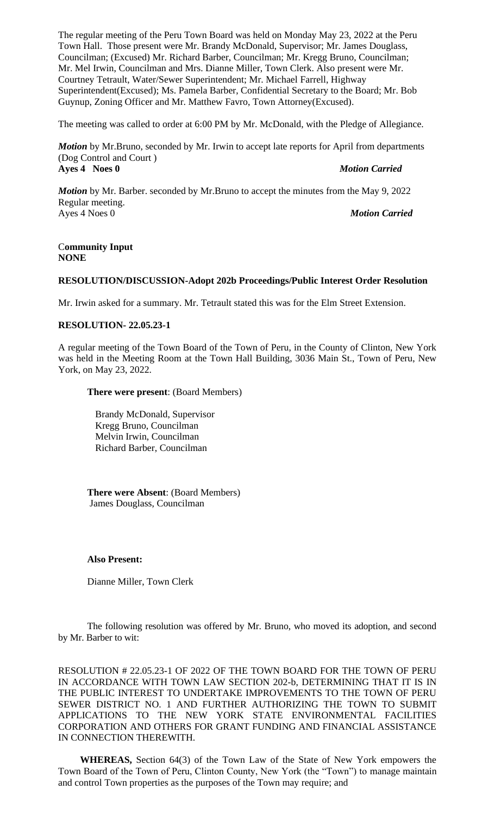The regular meeting of the Peru Town Board was held on Monday May 23, 2022 at the Peru Town Hall. Those present were Mr. Brandy McDonald, Supervisor; Mr. James Douglass, Councilman; (Excused) Mr. Richard Barber, Councilman; Mr. Kregg Bruno, Councilman; Mr. Mel Irwin, Councilman and Mrs. Dianne Miller, Town Clerk. Also present were Mr. Courtney Tetrault, Water/Sewer Superintendent; Mr. Michael Farrell, Highway Superintendent(Excused); Ms. Pamela Barber, Confidential Secretary to the Board; Mr. Bob Guynup, Zoning Officer and Mr. Matthew Favro, Town Attorney(Excused).

The meeting was called to order at 6:00 PM by Mr. McDonald, with the Pledge of Allegiance.

*Motion* by Mr.Bruno, seconded by Mr. Irwin to accept late reports for April from departments (Dog Control and Court ) **Ayes 4 Noes 0** *Motion Carried*

*Motion* by Mr. Barber. seconded by Mr.Bruno to accept the minutes from the May 9, 2022 Regular meeting. Ayes 4 Noes 0 *Motion Carried*

#### C**ommunity Input NONE**

#### **RESOLUTION/DISCUSSION-Adopt 202b Proceedings/Public Interest Order Resolution**

Mr. Irwin asked for a summary. Mr. Tetrault stated this was for the Elm Street Extension.

## **RESOLUTION- 22.05.23-1**

A regular meeting of the Town Board of the Town of Peru, in the County of Clinton, New York was held in the Meeting Room at the Town Hall Building, 3036 Main St., Town of Peru, New York, on May 23, 2022.

## **There were present**: (Board Members)

Brandy McDonald, Supervisor Kregg Bruno, Councilman Melvin Irwin, Councilman Richard Barber, Councilman

**There were Absent**: (Board Members) James Douglass, Councilman

#### **Also Present:**

Dianne Miller, Town Clerk

The following resolution was offered by Mr. Bruno, who moved its adoption, and second by Mr. Barber to wit:

RESOLUTION # 22.05.23-1 OF 2022 OF THE TOWN BOARD FOR THE TOWN OF PERU IN ACCORDANCE WITH TOWN LAW SECTION 202-b, DETERMINING THAT IT IS IN THE PUBLIC INTEREST TO UNDERTAKE IMPROVEMENTS TO THE TOWN OF PERU SEWER DISTRICT NO. 1 AND FURTHER AUTHORIZING THE TOWN TO SUBMIT APPLICATIONS TO THE NEW YORK STATE ENVIRONMENTAL FACILITIES CORPORATION AND OTHERS FOR GRANT FUNDING AND FINANCIAL ASSISTANCE IN CONNECTION THEREWITH.

**WHEREAS,** Section 64(3) of the Town Law of the State of New York empowers the Town Board of the Town of Peru, Clinton County, New York (the "Town") to manage maintain and control Town properties as the purposes of the Town may require; and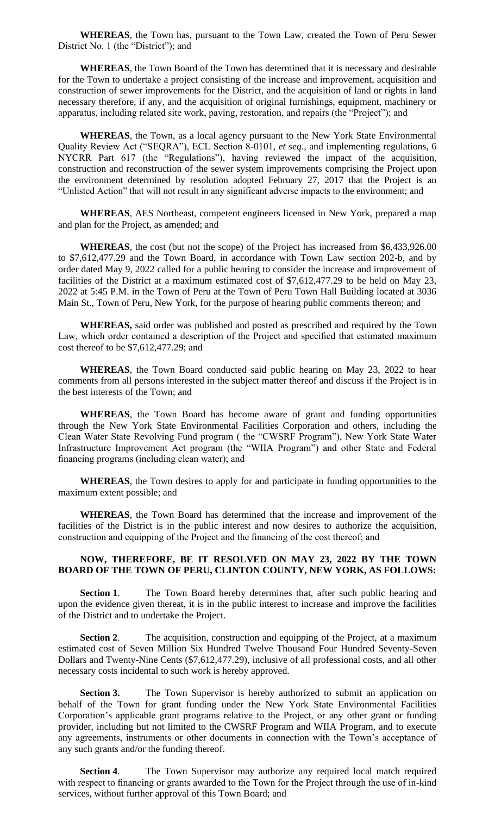**WHEREAS**, the Town has, pursuant to the Town Law, created the Town of Peru Sewer District No. 1 (the "District"); and

**WHEREAS**, the Town Board of the Town has determined that it is necessary and desirable for the Town to undertake a project consisting of the increase and improvement, acquisition and construction of sewer improvements for the District, and the acquisition of land or rights in land necessary therefore, if any, and the acquisition of original furnishings, equipment, machinery or apparatus, including related site work, paving, restoration, and repairs (the "Project"); and

**WHEREAS**, the Town, as a local agency pursuant to the New York State Environmental Quality Review Act ("SEQRA"), ECL Section 8-0101, *et seq.,* and implementing regulations, 6 NYCRR Part 617 (the "Regulations"), having reviewed the impact of the acquisition, construction and reconstruction of the sewer system improvements comprising the Project upon the environment determined by resolution adopted February 27, 2017 that the Project is an "Unlisted Action" that will not result in any significant adverse impacts to the environment; and

**WHEREAS**, AES Northeast, competent engineers licensed in New York, prepared a map and plan for the Project, as amended; and

**WHEREAS**, the cost (but not the scope) of the Project has increased from \$6,433,926.00 to \$7,612,477.29 and the Town Board, in accordance with Town Law section 202-b, and by order dated May 9, 2022 called for a public hearing to consider the increase and improvement of facilities of the District at a maximum estimated cost of \$7,612,477.29 to be held on May 23, 2022 at 5:45 P.M. in the Town of Peru at the Town of Peru Town Hall Building located at 3036 Main St., Town of Peru, New York, for the purpose of hearing public comments thereon; and

**WHEREAS,** said order was published and posted as prescribed and required by the Town Law, which order contained a description of the Project and specified that estimated maximum cost thereof to be \$7,612,477.29; and

**WHEREAS**, the Town Board conducted said public hearing on May 23, 2022 to hear comments from all persons interested in the subject matter thereof and discuss if the Project is in the best interests of the Town; and

**WHEREAS**, the Town Board has become aware of grant and funding opportunities through the New York State Environmental Facilities Corporation and others, including the Clean Water State Revolving Fund program ( the "CWSRF Program"), New York State Water Infrastructure Improvement Act program (the "WIIA Program") and other State and Federal financing programs (including clean water); and

**WHEREAS**, the Town desires to apply for and participate in funding opportunities to the maximum extent possible; and

**WHEREAS**, the Town Board has determined that the increase and improvement of the facilities of the District is in the public interest and now desires to authorize the acquisition, construction and equipping of the Project and the financing of the cost thereof; and

## **NOW, THEREFORE, BE IT RESOLVED ON MAY 23, 2022 BY THE TOWN BOARD OF THE TOWN OF PERU, CLINTON COUNTY, NEW YORK, AS FOLLOWS:**

**Section 1.** The Town Board hereby determines that, after such public hearing and upon the evidence given thereat, it is in the public interest to increase and improve the facilities of the District and to undertake the Project.

**Section 2.** The acquisition, construction and equipping of the Project, at a maximum estimated cost of Seven Million Six Hundred Twelve Thousand Four Hundred Seventy-Seven Dollars and Twenty-Nine Cents (\$7,612,477.29), inclusive of all professional costs, and all other necessary costs incidental to such work is hereby approved.

**Section 3.** The Town Supervisor is hereby authorized to submit an application on behalf of the Town for grant funding under the New York State Environmental Facilities Corporation's applicable grant programs relative to the Project, or any other grant or funding provider, including but not limited to the CWSRF Program and WIIA Program, and to execute any agreements, instruments or other documents in connection with the Town's acceptance of any such grants and/or the funding thereof.

**Section 4.** The Town Supervisor may authorize any required local match required with respect to financing or grants awarded to the Town for the Project through the use of in-kind services, without further approval of this Town Board; and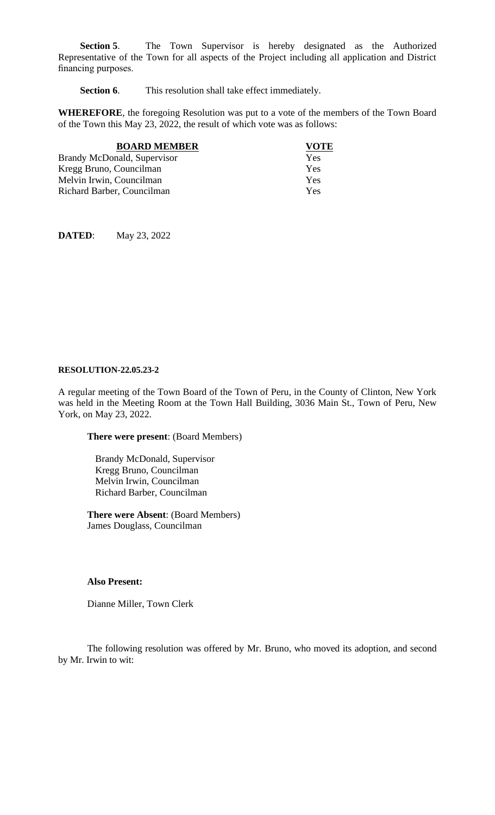**Section 5**. The Town Supervisor is hereby designated as the Authorized Representative of the Town for all aspects of the Project including all application and District financing purposes.

**Section 6.** This resolution shall take effect immediately.

**WHEREFORE**, the foregoing Resolution was put to a vote of the members of the Town Board of the Town this May 23, 2022, the result of which vote was as follows:

| <b>BOARD MEMBER</b>                | <b>VOTE</b> |
|------------------------------------|-------------|
| <b>Brandy McDonald, Supervisor</b> | Yes         |
| Kregg Bruno, Councilman            | Yes         |
| Melvin Irwin, Councilman           | Yes         |
| Richard Barber, Councilman         | Yes         |

**DATED**: May 23, 2022

#### **RESOLUTION-22.05.23-2**

A regular meeting of the Town Board of the Town of Peru, in the County of Clinton, New York was held in the Meeting Room at the Town Hall Building, 3036 Main St., Town of Peru, New York, on May 23, 2022.

**There were present**: (Board Members)

Brandy McDonald, Supervisor Kregg Bruno, Councilman Melvin Irwin, Councilman Richard Barber, Councilman

**There were Absent**: (Board Members) James Douglass, Councilman

### **Also Present:**

Dianne Miller, Town Clerk

The following resolution was offered by Mr. Bruno, who moved its adoption, and second by Mr. Irwin to wit: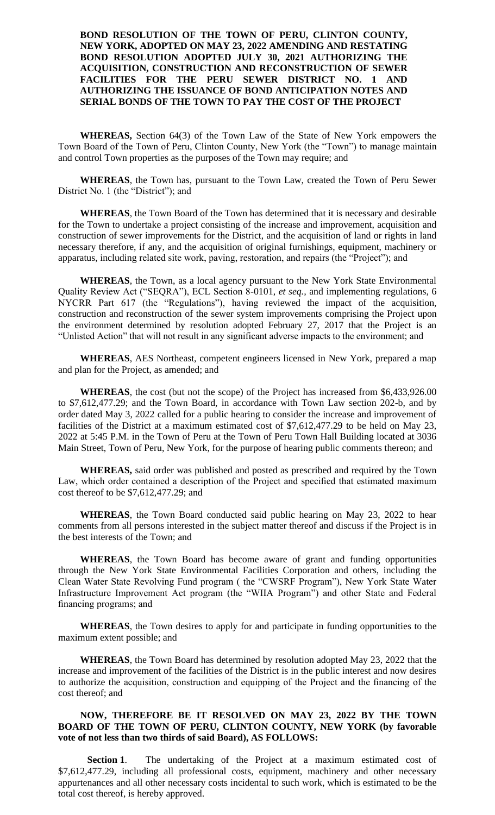## **BOND RESOLUTION OF THE TOWN OF PERU, CLINTON COUNTY, NEW YORK, ADOPTED ON MAY 23, 2022 AMENDING AND RESTATING BOND RESOLUTION ADOPTED JULY 30, 2021 AUTHORIZING THE ACQUISITION, CONSTRUCTION AND RECONSTRUCTION OF SEWER FACILITIES FOR THE PERU SEWER DISTRICT NO. 1 AND AUTHORIZING THE ISSUANCE OF BOND ANTICIPATION NOTES AND SERIAL BONDS OF THE TOWN TO PAY THE COST OF THE PROJECT**

**WHEREAS,** Section 64(3) of the Town Law of the State of New York empowers the Town Board of the Town of Peru, Clinton County, New York (the "Town") to manage maintain and control Town properties as the purposes of the Town may require; and

**WHEREAS**, the Town has, pursuant to the Town Law, created the Town of Peru Sewer District No. 1 (the "District"); and

**WHEREAS**, the Town Board of the Town has determined that it is necessary and desirable for the Town to undertake a project consisting of the increase and improvement, acquisition and construction of sewer improvements for the District, and the acquisition of land or rights in land necessary therefore, if any, and the acquisition of original furnishings, equipment, machinery or apparatus, including related site work, paving, restoration, and repairs (the "Project"); and

**WHEREAS**, the Town, as a local agency pursuant to the New York State Environmental Quality Review Act ("SEQRA"), ECL Section 8-0101, *et seq.,* and implementing regulations, 6 NYCRR Part 617 (the "Regulations"), having reviewed the impact of the acquisition, construction and reconstruction of the sewer system improvements comprising the Project upon the environment determined by resolution adopted February 27, 2017 that the Project is an "Unlisted Action" that will not result in any significant adverse impacts to the environment; and

**WHEREAS**, AES Northeast, competent engineers licensed in New York, prepared a map and plan for the Project, as amended; and

**WHEREAS**, the cost (but not the scope) of the Project has increased from \$6,433,926.00 to \$7,612,477.29; and the Town Board, in accordance with Town Law section 202-b, and by order dated May 3, 2022 called for a public hearing to consider the increase and improvement of facilities of the District at a maximum estimated cost of \$7,612,477.29 to be held on May 23, 2022 at 5:45 P.M. in the Town of Peru at the Town of Peru Town Hall Building located at 3036 Main Street, Town of Peru, New York, for the purpose of hearing public comments thereon; and

**WHEREAS,** said order was published and posted as prescribed and required by the Town Law, which order contained a description of the Project and specified that estimated maximum cost thereof to be \$7,612,477.29; and

**WHEREAS**, the Town Board conducted said public hearing on May 23, 2022 to hear comments from all persons interested in the subject matter thereof and discuss if the Project is in the best interests of the Town; and

**WHEREAS**, the Town Board has become aware of grant and funding opportunities through the New York State Environmental Facilities Corporation and others, including the Clean Water State Revolving Fund program ( the "CWSRF Program"), New York State Water Infrastructure Improvement Act program (the "WIIA Program") and other State and Federal financing programs; and

**WHEREAS**, the Town desires to apply for and participate in funding opportunities to the maximum extent possible; and

**WHEREAS**, the Town Board has determined by resolution adopted May 23, 2022 that the increase and improvement of the facilities of the District is in the public interest and now desires to authorize the acquisition, construction and equipping of the Project and the financing of the cost thereof; and

## **NOW, THEREFORE BE IT RESOLVED ON MAY 23, 2022 BY THE TOWN BOARD OF THE TOWN OF PERU, CLINTON COUNTY, NEW YORK (by favorable vote of not less than two thirds of said Board), AS FOLLOWS:**

**Section 1**. The undertaking of the Project at a maximum estimated cost of \$7,612,477.29, including all professional costs, equipment, machinery and other necessary appurtenances and all other necessary costs incidental to such work, which is estimated to be the total cost thereof, is hereby approved.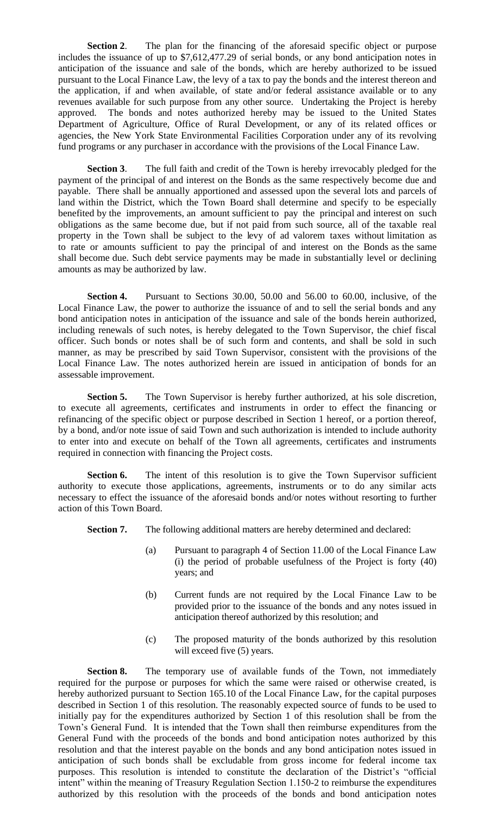**Section 2**. The plan for the financing of the aforesaid specific object or purpose includes the issuance of up to \$7,612,477.29 of serial bonds, or any bond anticipation notes in anticipation of the issuance and sale of the bonds, which are hereby authorized to be issued pursuant to the Local Finance Law, the levy of a tax to pay the bonds and the interest thereon and the application, if and when available, of state and/or federal assistance available or to any revenues available for such purpose from any other source. Undertaking the Project is hereby approved. The bonds and notes authorized hereby may be issued to the United States Department of Agriculture, Office of Rural Development, or any of its related offices or agencies, the New York State Environmental Facilities Corporation under any of its revolving fund programs or any purchaser in accordance with the provisions of the Local Finance Law.

**Section 3**. The full faith and credit of the Town is hereby irrevocably pledged for the payment of the principal of and interest on the Bonds as the same respectively become due and payable. There shall be annually apportioned and assessed upon the several lots and parcels of land within the District, which the Town Board shall determine and specify to be especially benefited by the improvements, an amount sufficient to pay the principal and interest on such obligations as the same become due, but if not paid from such source, all of the taxable real property in the Town shall be subject to the levy of ad valorem taxes without limitation as to rate or amounts sufficient to pay the principal of and interest on the Bonds as the same shall become due. Such debt service payments may be made in substantially level or declining amounts as may be authorized by law.

**Section 4.** Pursuant to Sections 30.00, 50.00 and 56.00 to 60.00, inclusive, of the Local Finance Law, the power to authorize the issuance of and to sell the serial bonds and any bond anticipation notes in anticipation of the issuance and sale of the bonds herein authorized, including renewals of such notes, is hereby delegated to the Town Supervisor, the chief fiscal officer. Such bonds or notes shall be of such form and contents, and shall be sold in such manner, as may be prescribed by said Town Supervisor, consistent with the provisions of the Local Finance Law. The notes authorized herein are issued in anticipation of bonds for an assessable improvement.

**Section 5.** The Town Supervisor is hereby further authorized, at his sole discretion, to execute all agreements, certificates and instruments in order to effect the financing or refinancing of the specific object or purpose described in Section 1 hereof, or a portion thereof, by a bond, and/or note issue of said Town and such authorization is intended to include authority to enter into and execute on behalf of the Town all agreements, certificates and instruments required in connection with financing the Project costs.

**Section 6.** The intent of this resolution is to give the Town Supervisor sufficient authority to execute those applications, agreements, instruments or to do any similar acts necessary to effect the issuance of the aforesaid bonds and/or notes without resorting to further action of this Town Board.

**Section 7.** The following additional matters are hereby determined and declared:

- (a) Pursuant to paragraph 4 of Section 11.00 of the Local Finance Law (i) the period of probable usefulness of the Project is forty (40) years; and
- (b) Current funds are not required by the Local Finance Law to be provided prior to the issuance of the bonds and any notes issued in anticipation thereof authorized by this resolution; and
- (c) The proposed maturity of the bonds authorized by this resolution will exceed five (5) years.

**Section 8.** The temporary use of available funds of the Town, not immediately required for the purpose or purposes for which the same were raised or otherwise created, is hereby authorized pursuant to Section 165.10 of the Local Finance Law, for the capital purposes described in Section 1 of this resolution. The reasonably expected source of funds to be used to initially pay for the expenditures authorized by Section 1 of this resolution shall be from the Town's General Fund. It is intended that the Town shall then reimburse expenditures from the General Fund with the proceeds of the bonds and bond anticipation notes authorized by this resolution and that the interest payable on the bonds and any bond anticipation notes issued in anticipation of such bonds shall be excludable from gross income for federal income tax purposes. This resolution is intended to constitute the declaration of the District's "official intent" within the meaning of Treasury Regulation Section 1.150-2 to reimburse the expenditures authorized by this resolution with the proceeds of the bonds and bond anticipation notes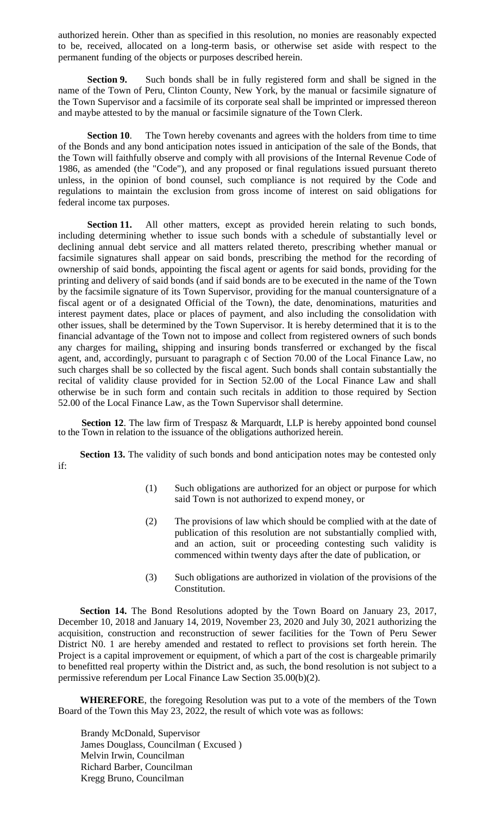authorized herein. Other than as specified in this resolution, no monies are reasonably expected to be, received, allocated on a long-term basis, or otherwise set aside with respect to the permanent funding of the objects or purposes described herein.

**Section 9.** Such bonds shall be in fully registered form and shall be signed in the name of the Town of Peru, Clinton County, New York, by the manual or facsimile signature of the Town Supervisor and a facsimile of its corporate seal shall be imprinted or impressed thereon and maybe attested to by the manual or facsimile signature of the Town Clerk.

**Section 10.** The Town hereby covenants and agrees with the holders from time to time of the Bonds and any bond anticipation notes issued in anticipation of the sale of the Bonds, that the Town will faithfully observe and comply with all provisions of the Internal Revenue Code of 1986, as amended (the "Code"), and any proposed or final regulations issued pursuant thereto unless, in the opinion of bond counsel, such compliance is not required by the Code and regulations to maintain the exclusion from gross income of interest on said obligations for federal income tax purposes.

**Section 11.** All other matters, except as provided herein relating to such bonds, including determining whether to issue such bonds with a schedule of substantially level or declining annual debt service and all matters related thereto, prescribing whether manual or facsimile signatures shall appear on said bonds, prescribing the method for the recording of ownership of said bonds, appointing the fiscal agent or agents for said bonds, providing for the printing and delivery of said bonds (and if said bonds are to be executed in the name of the Town by the facsimile signature of its Town Supervisor, providing for the manual countersignature of a fiscal agent or of a designated Official of the Town), the date, denominations, maturities and interest payment dates, place or places of payment, and also including the consolidation with other issues, shall be determined by the Town Supervisor. It is hereby determined that it is to the financial advantage of the Town not to impose and collect from registered owners of such bonds any charges for mailing, shipping and insuring bonds transferred or exchanged by the fiscal agent, and, accordingly, pursuant to paragraph c of Section 70.00 of the Local Finance Law, no such charges shall be so collected by the fiscal agent. Such bonds shall contain substantially the recital of validity clause provided for in Section 52.00 of the Local Finance Law and shall otherwise be in such form and contain such recitals in addition to those required by Section 52.00 of the Local Finance Law, as the Town Supervisor shall determine.

**Section 12.** The law firm of Trespasz & Marquardt, LLP is hereby appointed bond counsel to the Town in relation to the issuance of the obligations authorized herein.

Section 13. The validity of such bonds and bond anticipation notes may be contested only if:

- (1) Such obligations are authorized for an object or purpose for which said Town is not authorized to expend money, or
- (2) The provisions of law which should be complied with at the date of publication of this resolution are not substantially complied with, and an action, suit or proceeding contesting such validity is commenced within twenty days after the date of publication, or
- (3) Such obligations are authorized in violation of the provisions of the Constitution.

**Section 14.** The Bond Resolutions adopted by the Town Board on January 23, 2017, December 10, 2018 and January 14, 2019, November 23, 2020 and July 30, 2021 authorizing the acquisition, construction and reconstruction of sewer facilities for the Town of Peru Sewer District N0. 1 are hereby amended and restated to reflect to provisions set forth herein. The Project is a capital improvement or equipment, of which a part of the cost is chargeable primarily to benefitted real property within the District and, as such, the bond resolution is not subject to a permissive referendum per Local Finance Law Section 35.00(b)(2).

**WHEREFORE**, the foregoing Resolution was put to a vote of the members of the Town Board of the Town this May 23, 2022, the result of which vote was as follows:

Brandy McDonald, Supervisor James Douglass, Councilman ( Excused ) Melvin Irwin, Councilman Richard Barber, Councilman Kregg Bruno, Councilman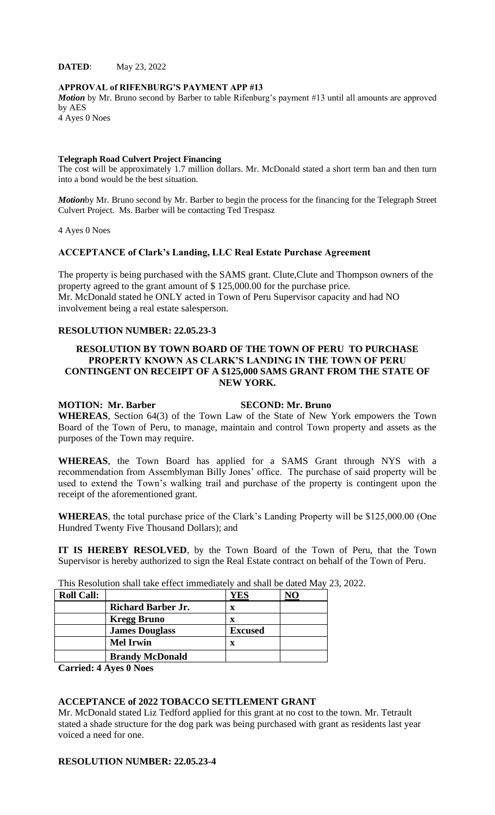**DATED**: May 23, 2022

#### **APPROVAL of RIFENBURG'S PAYMENT APP #13**

*Motion* by Mr. Bruno second by Barber to table Rifenburg's payment #13 until all amounts are approved by AES

4 Ayes 0 Noes

#### **Telegraph Road Culvert Project Financing**

The cost will be approximately 1.7 million dollars. Mr. McDonald stated a short term ban and then turn into a bond would be the best situation.

*Motion*by Mr. Bruno second by Mr. Barber to begin the process for the financing for the Telegraph Street Culvert Project. Ms. Barber will be contacting Ted Trespasz

4 Ayes 0 Noes

#### **ACCEPTANCE of Clark's Landing, LLC Real Estate Purchase Agreement**

The property is being purchased with the SAMS grant. Clute,Clute and Thompson owners of the property agreed to the grant amount of \$ 125,000.00 for the purchase price. Mr. McDonald stated he ONLY acted in Town of Peru Supervisor capacity and had NO involvement being a real estate salesperson.

## **RESOLUTION NUMBER: 22.05.23-3**

## **RESOLUTION BY TOWN BOARD OF THE TOWN OF PERU TO PURCHASE PROPERTY KNOWN AS CLARK'S LANDING IN THE TOWN OF PERU CONTINGENT ON RECEIPT OF A \$125,000 SAMS GRANT FROM THE STATE OF NEW YORK.**

## **MOTION: Mr. Barber SECOND: Mr. Bruno**

**WHEREAS**, Section 64(3) of the Town Law of the State of New York empowers the Town Board of the Town of Peru, to manage, maintain and control Town property and assets as the purposes of the Town may require.

**WHEREAS**, the Town Board has applied for a SAMS Grant through NYS with a recommendation from Assemblyman Billy Jones' office. The purchase of said property will be used to extend the Town's walking trail and purchase of the property is contingent upon the receipt of the aforementioned grant.

**WHEREAS**, the total purchase price of the Clark's Landing Property will be \$125,000.00 (One Hundred Twenty Five Thousand Dollars); and

**IT IS HEREBY RESOLVED**, by the Town Board of the Town of Peru, that the Town Supervisor is hereby authorized to sign the Real Estate contract on behalf of the Town of Peru.

| <b>Roll Call:</b> |                           | 1 <b>ES</b>    |  |
|-------------------|---------------------------|----------------|--|
|                   | <b>Richard Barber Jr.</b> | X              |  |
|                   | <b>Kregg Bruno</b>        | x              |  |
|                   | <b>James Douglass</b>     | <b>Excused</b> |  |
|                   | <b>Mel Irwin</b>          | X              |  |
|                   | <b>Brandy McDonald</b>    |                |  |

This Resolution shall take effect immediately and shall be dated May 23, 2022.

**Carried: 4 Ayes 0 Noes**

## **ACCEPTANCE of 2022 TOBACCO SETTLEMENT GRANT**

Mr. McDonald stated Liz Tedford applied for this grant at no cost to the town. Mr. Tetrault stated a shade structure for the dog park was being purchased with grant as residents last year voiced a need for one.

## **RESOLUTION NUMBER: 22.05.23-4**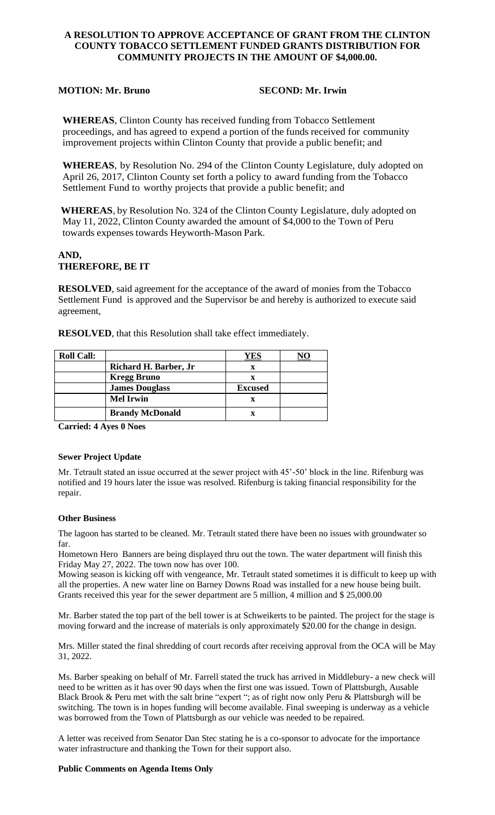## **A RESOLUTION TO APPROVE ACCEPTANCE OF GRANT FROM THE CLINTON COUNTY TOBACCO SETTLEMENT FUNDED GRANTS DISTRIBUTION FOR COMMUNITY PROJECTS IN THE AMOUNT OF \$4,000.00.**

## **MOTION: Mr. Bruno SECOND: Mr. Irwin**

**WHEREAS**, Clinton County has received funding from Tobacco Settlement proceedings, and has agreed to expend a portion of the funds received for community improvement projects within Clinton County that provide a public benefit; and

**WHEREAS**, by Resolution No. 294 of the Clinton County Legislature, duly adopted on April 26, 2017, Clinton County set forth a policy to award funding from the Tobacco Settlement Fund to worthy projects that provide a public benefit; and

**WHEREAS**, by Resolution No. 324 of the Clinton County Legislature, duly adopted on May 11, 2022, Clinton County awarded the amount of \$4,000 to the Town of Peru towards expenses towards Heyworth-Mason Park.

# **AND, THEREFORE, BE IT**

**RESOLVED**, said agreement for the acceptance of the award of monies from the Tobacco Settlement Fund is approved and the Supervisor be and hereby is authorized to execute said agreement,

**RESOLVED**, that this Resolution shall take effect immediately.

| <b>Roll Call:</b> |                        | YES            | NO |
|-------------------|------------------------|----------------|----|
|                   | Richard H. Barber, Jr  | x              |    |
|                   | <b>Kregg Bruno</b>     | X              |    |
|                   | <b>James Douglass</b>  | <b>Excused</b> |    |
|                   | <b>Mel Irwin</b>       | x              |    |
|                   | <b>Brandy McDonald</b> |                |    |

**Carried: 4 Ayes 0 Noes**

#### **Sewer Project Update**

Mr. Tetrault stated an issue occurred at the sewer project with 45'-50' block in the line. Rifenburg was notified and 19 hours later the issue was resolved. Rifenburg is taking financial responsibility for the repair.

#### **Other Business**

The lagoon has started to be cleaned. Mr. Tetrault stated there have been no issues with groundwater so far.

Hometown Hero Banners are being displayed thru out the town. The water department will finish this Friday May 27, 2022. The town now has over 100.

Mowing season is kicking off with vengeance, Mr. Tetrault stated sometimes it is difficult to keep up with all the properties. A new water line on Barney Downs Road was installed for a new house being built. Grants received this year for the sewer department are 5 million, 4 million and \$ 25,000.00

Mr. Barber stated the top part of the bell tower is at Schweikerts to be painted. The project for the stage is moving forward and the increase of materials is only approximately \$20.00 for the change in design.

Mrs. Miller stated the final shredding of court records after receiving approval from the OCA will be May 31, 2022.

Ms. Barber speaking on behalf of Mr. Farrell stated the truck has arrived in Middlebury- a new check will need to be written as it has over 90 days when the first one was issued. Town of Plattsburgh, Ausable Black Brook & Peru met with the salt brine "expert "; as of right now only Peru & Plattsburgh will be switching. The town is in hopes funding will become available. Final sweeping is underway as a vehicle was borrowed from the Town of Plattsburgh as our vehicle was needed to be repaired.

A letter was received from Senator Dan Stec stating he is a co-sponsor to advocate for the importance water infrastructure and thanking the Town for their support also.

#### **Public Comments on Agenda Items Only**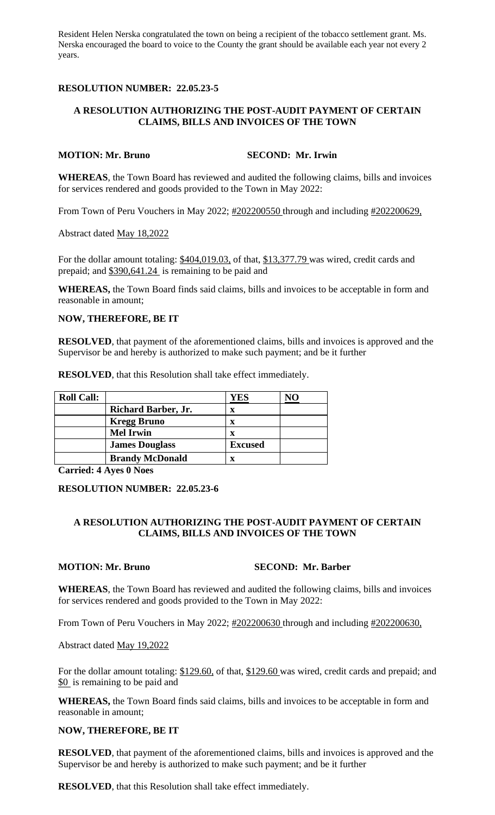Resident Helen Nerska congratulated the town on being a recipient of the tobacco settlement grant. Ms. Nerska encouraged the board to voice to the County the grant should be available each year not every 2 years.

## **RESOLUTION NUMBER: 22.05.23-5**

## **A RESOLUTION AUTHORIZING THE POST-AUDIT PAYMENT OF CERTAIN CLAIMS, BILLS AND INVOICES OF THE TOWN**

## **MOTION: Mr. Bruno SECOND: Mr. Irwin**

**WHEREAS**, the Town Board has reviewed and audited the following claims, bills and invoices for services rendered and goods provided to the Town in May 2022:

From Town of Peru Vouchers in May 2022;  $\frac{\#202200550}{\#20220051}$  through and including  $\frac{\#202200629}{\#202200629}$ 

Abstract dated May 18,2022

For the dollar amount totaling: \$404,019.03, of that, \$13,377.79 was wired, credit cards and prepaid; and \$390,641.24 is remaining to be paid and

**WHEREAS,** the Town Board finds said claims, bills and invoices to be acceptable in form and reasonable in amount;

## **NOW, THEREFORE, BE IT**

**RESOLVED**, that payment of the aforementioned claims, bills and invoices is approved and the Supervisor be and hereby is authorized to make such payment; and be it further

**RESOLVED**, that this Resolution shall take effect immediately.

| <b>Roll Call:</b> |                            | YES            |  |
|-------------------|----------------------------|----------------|--|
|                   | <b>Richard Barber, Jr.</b> | X              |  |
|                   | <b>Kregg Bruno</b>         | x              |  |
|                   | <b>Mel Irwin</b>           |                |  |
|                   | <b>James Douglass</b>      | <b>Excused</b> |  |
|                   | <b>Brandy McDonald</b>     |                |  |

**Carried: 4 Ayes 0 Noes**

#### **RESOLUTION NUMBER: 22.05.23-6**

## **A RESOLUTION AUTHORIZING THE POST-AUDIT PAYMENT OF CERTAIN CLAIMS, BILLS AND INVOICES OF THE TOWN**

## **MOTION: Mr. Bruno SECOND: Mr. Barber**

**WHEREAS**, the Town Board has reviewed and audited the following claims, bills and invoices for services rendered and goods provided to the Town in May 2022:

From Town of Peru Vouchers in May 2022; #202200630 through and including #202200630,

Abstract dated May 19,2022

For the dollar amount totaling: \$129.60, of that, \$129.60 was wired, credit cards and prepaid; and \$0 is remaining to be paid and

**WHEREAS,** the Town Board finds said claims, bills and invoices to be acceptable in form and reasonable in amount;

#### **NOW, THEREFORE, BE IT**

**RESOLVED**, that payment of the aforementioned claims, bills and invoices is approved and the Supervisor be and hereby is authorized to make such payment; and be it further

**RESOLVED**, that this Resolution shall take effect immediately.